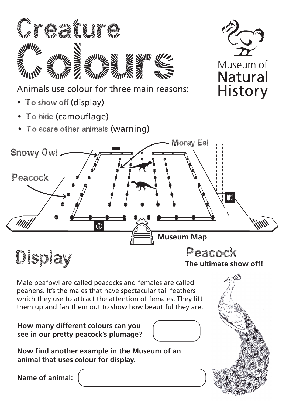